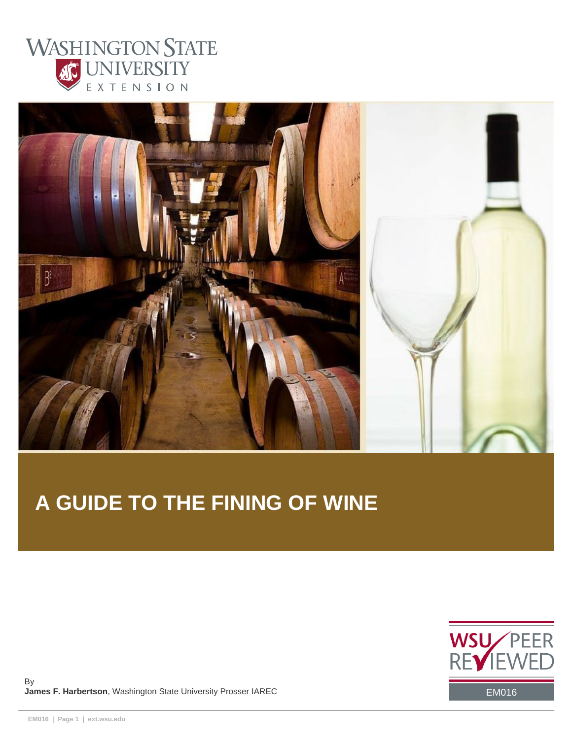



# **A GUIDE TO THE FINING OF WINE**



By **James F. Harbertson**, Washington State University Prosser IAREC **EM016** EM016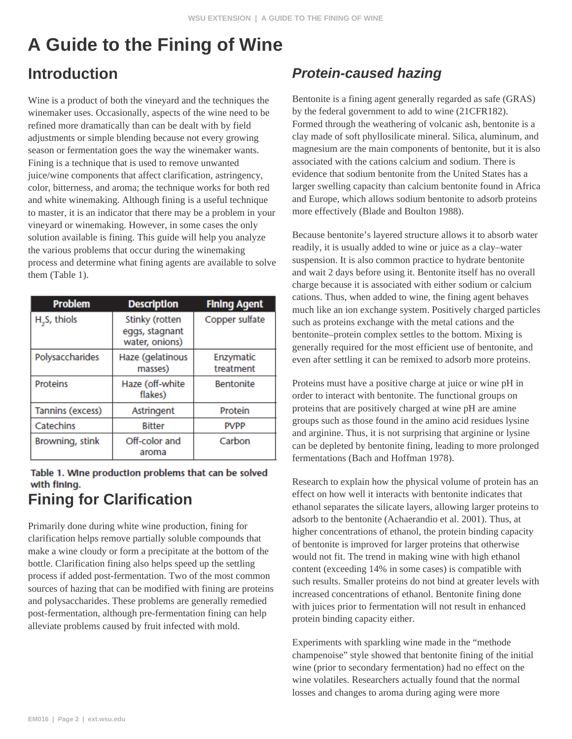# **A Guide to the Fining of Wine Introduction**

Wine is a product of both the vineyard and the techniques the winemaker uses. Occasionally, aspects of the wine need to be refined more dramatically than can be dealt with by field adjustments or simple blending because not every growing season or fermentation goes the way the winemaker wants. Fining is a technique that is used to remove unwanted juice/wine components that affect clarification, astringency, color, bitterness, and aroma; the technique works for both red and white winemaking. Although fining is a useful technique to master, it is an indicator that there may be a problem in your vineyard or winemaking. However, in some cases the only solution available is fining. This guide will help you analyze the various problems that occur during the winemaking process and determine what fining agents are available to solve them (Table 1).

| <b>Problem</b>           | <b>Description</b>                                 | <b>Fining Agent</b>    |  |
|--------------------------|----------------------------------------------------|------------------------|--|
| H <sub>2</sub> S, thiols | Stinky (rotten<br>eggs, stagnant<br>water, onions) | Copper sulfate         |  |
| Polysaccharides          | Haze (gelatinous<br>masses)                        | Enzymatic<br>treatment |  |
| <b>Proteins</b>          | Haze (off-white<br>flakes)                         | <b>Bentonite</b>       |  |
| Tannins (excess)         | Astringent                                         | Protein                |  |
| Catechins                | <b>Bitter</b>                                      | <b>PVPP</b>            |  |
| Browning, stink          | Off-color and<br>aroma                             | Carbon                 |  |

#### Table 1. Wine production problems that can be solved with fining.

## **Fining for Clarification**

Primarily done during white wine production, fining for clarification helps remove partially soluble compounds that make a wine cloudy or form a precipitate at the bottom of the bottle. Clarification fining also helps speed up the settling process if added post-fermentation. Two of the most common sources of hazing that can be modified with fining are proteins and polysaccharides. These problems are generally remedied post-fermentation, although pre-fermentation fining can help alleviate problems caused by fruit infected with mold.

### **Protein-caused hazing**

Bentonite is a fining agent generally regarded as safe (GRAS) by the federal government to add to wine (21CFR182). Formed through the weathering of volcanic ash, bentonite is a clay made of soft phyllosilicate mineral. Silica, aluminum, and magnesium are the main components of bentonite, but it is also associated with the cations calcium and sodium. There is evidence that sodium bentonite from the United States has a larger swelling capacity than calcium bentonite found in Africa and Europe, which allows sodium bentonite to adsorb proteins more effectively (Blade and Boulton 1988).

Because bentonite's layered structure allows it to absorb water readily, it is usually added to wine or juice as a clay–water suspension. It is also common practice to hydrate bentonite and wait 2 days before using it. Bentonite itself has no overall charge because it is associated with either sodium or calcium cations. Thus, when added to wine, the fining agent behaves much like an ion exchange system. Positively charged particles such as proteins exchange with the metal cations and the bentonite–protein complex settles to the bottom. Mixing is generally required for the most efficient use of bentonite, and even after settling it can be remixed to adsorb more proteins.

Proteins must have a positive charge at juice or wine pH in order to interact with bentonite. The functional groups on proteins that are positively charged at wine pH are amine groups such as those found in the amino acid residues lysine and arginine. Thus, it is not surprising that arginine or lysine can be depleted by bentonite fining, leading to more prolonged fermentations (Bach and Hoffman 1978).

Research to explain how the physical volume of protein has an effect on how well it interacts with bentonite indicates that ethanol separates the silicate layers, allowing larger proteins to adsorb to the bentonite (Achaerandio et al. 2001). Thus, at higher concentrations of ethanol, the protein binding capacity of bentonite is improved for larger proteins that otherwise would not fit. The trend in making wine with high ethanol content (exceeding 14% in some cases) is compatible with such results. Smaller proteins do not bind at greater levels with increased concentrations of ethanol. Bentonite fining done with juices prior to fermentation will not result in enhanced protein binding capacity either.

Experiments with sparkling wine made in the "methode champenoise" style showed that bentonite fining of the initial wine (prior to secondary fermentation) had no effect on the wine volatiles. Researchers actually found that the normal losses and changes to aroma during aging were more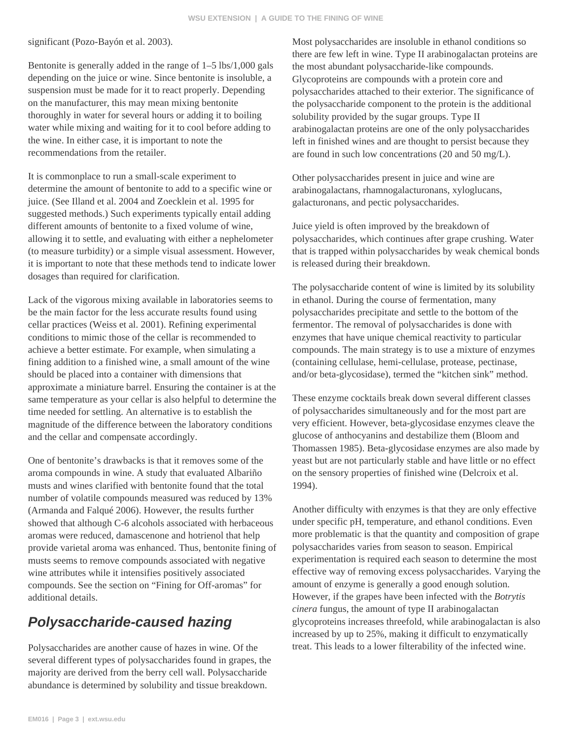significant (Pozo-Bayón et al. 2003).

Bentonite is generally added in the range of 1–5 lbs/1,000 gals depending on the juice or wine. Since bentonite is insoluble, a suspension must be made for it to react properly. Depending on the manufacturer, this may mean mixing bentonite thoroughly in water for several hours or adding it to boiling water while mixing and waiting for it to cool before adding to the wine. In either case, it is important to note the recommendations from the retailer.

It is commonplace to run a small-scale experiment to determine the amount of bentonite to add to a specific wine or juice. (See Illand et al. 2004 and Zoecklein et al. 1995 for suggested methods.) Such experiments typically entail adding different amounts of bentonite to a fixed volume of wine, allowing it to settle, and evaluating with either a nephelometer (to measure turbidity) or a simple visual assessment. However, it is important to note that these methods tend to indicate lower dosages than required for clarification.

Lack of the vigorous mixing available in laboratories seems to be the main factor for the less accurate results found using cellar practices (Weiss et al. 2001). Refining experimental conditions to mimic those of the cellar is recommended to achieve a better estimate. For example, when simulating a fining addition to a finished wine, a small amount of the wine should be placed into a container with dimensions that approximate a miniature barrel. Ensuring the container is at the same temperature as your cellar is also helpful to determine the time needed for settling. An alternative is to establish the magnitude of the difference between the laboratory conditions and the cellar and compensate accordingly.

One of bentonite's drawbacks is that it removes some of the aroma compounds in wine. A study that evaluated Albariño musts and wines clarified with bentonite found that the total number of volatile compounds measured was reduced by 13% (Armanda and Falqué 2006). However, the results further showed that although C-6 alcohols associated with herbaceous aromas were reduced, damascenone and hotrienol that help provide varietal aroma was enhanced. Thus, bentonite fining of musts seems to remove compounds associated with negative wine attributes while it intensifies positively associated compounds. See the section on "Fining for Off-aromas" for additional details.

#### **Polysaccharide-caused hazing**

Polysaccharides are another cause of hazes in wine. Of the several different types of polysaccharides found in grapes, the majority are derived from the berry cell wall. Polysaccharide abundance is determined by solubility and tissue breakdown.

Most polysaccharides are insoluble in ethanol conditions so there are few left in wine. Type II arabinogalactan proteins are the most abundant polysaccharide-like compounds. Glycoproteins are compounds with a protein core and polysaccharides attached to their exterior. The significance of the polysaccharide component to the protein is the additional solubility provided by the sugar groups. Type II arabinogalactan proteins are one of the only polysaccharides left in finished wines and are thought to persist because they are found in such low concentrations (20 and 50 mg/L).

Other polysaccharides present in juice and wine are arabinogalactans, rhamnogalacturonans, xyloglucans, galacturonans, and pectic polysaccharides.

Juice yield is often improved by the breakdown of polysaccharides, which continues after grape crushing. Water that is trapped within polysaccharides by weak chemical bonds is released during their breakdown.

The polysaccharide content of wine is limited by its solubility in ethanol. During the course of fermentation, many polysaccharides precipitate and settle to the bottom of the fermentor. The removal of polysaccharides is done with enzymes that have unique chemical reactivity to particular compounds. The main strategy is to use a mixture of enzymes (containing cellulase, hemi-cellulase, protease, pectinase, and/or beta-glycosidase), termed the "kitchen sink" method.

These enzyme cocktails break down several different classes of polysaccharides simultaneously and for the most part are very efficient. However, beta-glycosidase enzymes cleave the glucose of anthocyanins and destabilize them (Bloom and Thomassen 1985). Beta-glycosidase enzymes are also made by yeast but are not particularly stable and have little or no effect on the sensory properties of finished wine (Delcroix et al. 1994).

Another difficulty with enzymes is that they are only effective under specific pH, temperature, and ethanol conditions. Even more problematic is that the quantity and composition of grape polysaccharides varies from season to season. Empirical experimentation is required each season to determine the most effective way of removing excess polysaccharides. Varying the amount of enzyme is generally a good enough solution. However, if the grapes have been infected with the *Botrytis cinera* fungus, the amount of type II arabinogalactan glycoproteins increases threefold, while arabinogalactan is also increased by up to 25%, making it difficult to enzymatically treat. This leads to a lower filterability of the infected wine.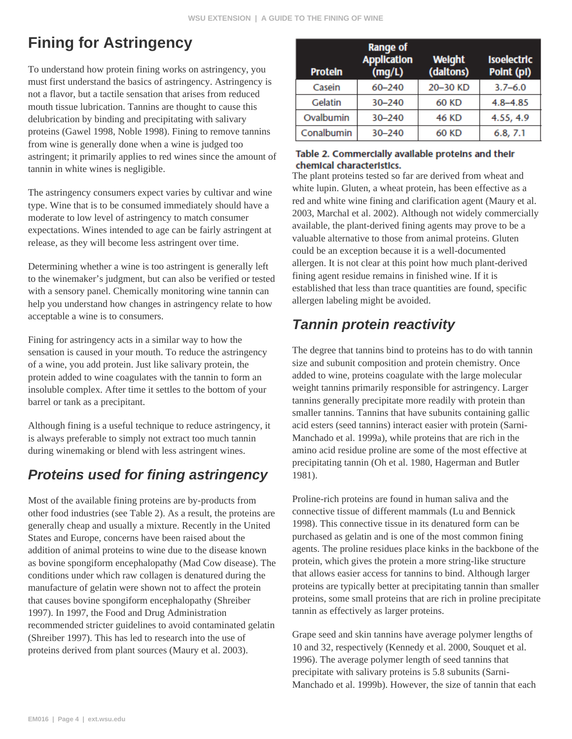## **Fining for Astringency**

To understand how protein fining works on astringency, you must first understand the basics of astringency. Astringency is not a flavor, but a tactile sensation that arises from reduced mouth tissue lubrication. Tannins are thought to cause this delubrication by binding and precipitating with salivary proteins (Gawel 1998, Noble 1998). Fining to remove tannins from wine is generally done when a wine is judged too astringent; it primarily applies to red wines since the amount of tannin in white wines is negligible.

The astringency consumers expect varies by cultivar and wine type. Wine that is to be consumed immediately should have a moderate to low level of astringency to match consumer expectations. Wines intended to age can be fairly astringent at release, as they will become less astringent over time.

Determining whether a wine is too astringent is generally left to the winemaker's judgment, but can also be verified or tested with a sensory panel. Chemically monitoring wine tannin can help you understand how changes in astringency relate to how acceptable a wine is to consumers.

Fining for astringency acts in a similar way to how the sensation is caused in your mouth. To reduce the astringency of a wine, you add protein. Just like salivary protein, the protein added to wine coagulates with the tannin to form an insoluble complex. After time it settles to the bottom of your barrel or tank as a precipitant.

Although fining is a useful technique to reduce astringency, it is always preferable to simply not extract too much tannin during winemaking or blend with less astringent wines.

#### **Proteins used for fining astringency**

Most of the available fining proteins are by-products from other food industries (see Table 2). As a result, the proteins are generally cheap and usually a mixture. Recently in the United States and Europe, concerns have been raised about the addition of animal proteins to wine due to the disease known as bovine spongiform encephalopathy (Mad Cow disease). The conditions under which raw collagen is denatured during the manufacture of gelatin were shown not to affect the protein that causes bovine spongiform encephalopathy (Shreiber 1997). In 1997, the Food and Drug Administration recommended stricter guidelines to avoid contaminated gelatin (Shreiber 1997). This has led to research into the use of proteins derived from plant sources (Maury et al. 2003).

| <b>Protein</b> | <b>Range of</b><br><b>Application</b><br>(mg/L) | Weight<br>(daltons) | <b>Isoelectric</b><br>Point (pl) |
|----------------|-------------------------------------------------|---------------------|----------------------------------|
| Casein         | 60-240                                          | 20-30 KD            | $3.7 - 6.0$                      |
| Gelatin        | $30 - 240$                                      | 60 KD               | $4.8 - 4.85$                     |
| Ovalbumin      | $30 - 240$                                      | 46 KD               | 4.55, 4.9                        |
| Conalbumin     | $30 - 240$                                      | 60 KD               | 6.8, 7.1                         |

#### Table 2. Commercially available proteins and their chemical characteristics.

The plant proteins tested so far are derived from wheat and white lupin. Gluten, a wheat protein, has been effective as a red and white wine fining and clarification agent (Maury et al. 2003, Marchal et al. 2002). Although not widely commercially available, the plant-derived fining agents may prove to be a valuable alternative to those from animal proteins. Gluten could be an exception because it is a well-documented allergen. It is not clear at this point how much plant-derived fining agent residue remains in finished wine. If it is established that less than trace quantities are found, specific allergen labeling might be avoided.

### **Tannin protein reactivity**

The degree that tannins bind to proteins has to do with tannin size and subunit composition and protein chemistry. Once added to wine, proteins coagulate with the large molecular weight tannins primarily responsible for astringency. Larger tannins generally precipitate more readily with protein than smaller tannins. Tannins that have subunits containing gallic acid esters (seed tannins) interact easier with protein (Sarni-Manchado et al. 1999a), while proteins that are rich in the amino acid residue proline are some of the most effective at precipitating tannin (Oh et al. 1980, Hagerman and Butler 1981).

Proline-rich proteins are found in human saliva and the connective tissue of different mammals (Lu and Bennick 1998). This connective tissue in its denatured form can be purchased as gelatin and is one of the most common fining agents. The proline residues place kinks in the backbone of the protein, which gives the protein a more string-like structure that allows easier access for tannins to bind. Although larger proteins are typically better at precipitating tannin than smaller proteins, some small proteins that are rich in proline precipitate tannin as effectively as larger proteins.

Grape seed and skin tannins have average polymer lengths of 10 and 32, respectively (Kennedy et al. 2000, Souquet et al. 1996). The average polymer length of seed tannins that precipitate with salivary proteins is 5.8 subunits (Sarni-Manchado et al. 1999b). However, the size of tannin that each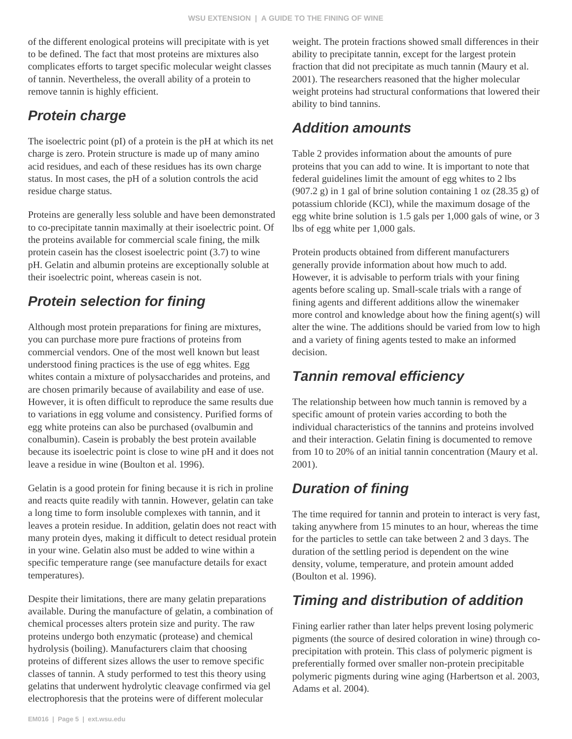of the different enological proteins will precipitate with is yet to be defined. The fact that most proteins are mixtures also complicates efforts to target specific molecular weight classes of tannin. Nevertheless, the overall ability of a protein to remove tannin is highly efficient.

#### **Protein charge**

The isoelectric point (pI) of a protein is the pH at which its net charge is zero. Protein structure is made up of many amino acid residues, and each of these residues has its own charge status. In most cases, the pH of a solution controls the acid residue charge status.

Proteins are generally less soluble and have been demonstrated to co-precipitate tannin maximally at their isoelectric point. Of the proteins available for commercial scale fining, the milk protein casein has the closest isoelectric point (3.7) to wine pH. Gelatin and albumin proteins are exceptionally soluble at their isoelectric point, whereas casein is not.

#### **Protein selection for fining**

Although most protein preparations for fining are mixtures, you can purchase more pure fractions of proteins from commercial vendors. One of the most well known but least understood fining practices is the use of egg whites. Egg whites contain a mixture of polysaccharides and proteins, and are chosen primarily because of availability and ease of use. However, it is often difficult to reproduce the same results due to variations in egg volume and consistency. Purified forms of egg white proteins can also be purchased (ovalbumin and conalbumin). Casein is probably the best protein available because its isoelectric point is close to wine pH and it does not leave a residue in wine (Boulton et al. 1996).

Gelatin is a good protein for fining because it is rich in proline and reacts quite readily with tannin. However, gelatin can take a long time to form insoluble complexes with tannin, and it leaves a protein residue. In addition, gelatin does not react with many protein dyes, making it difficult to detect residual protein in your wine. Gelatin also must be added to wine within a specific temperature range (see manufacture details for exact temperatures).

Despite their limitations, there are many gelatin preparations available. During the manufacture of gelatin, a combination of chemical processes alters protein size and purity. The raw proteins undergo both enzymatic (protease) and chemical hydrolysis (boiling). Manufacturers claim that choosing proteins of different sizes allows the user to remove specific classes of tannin. A study performed to test this theory using gelatins that underwent hydrolytic cleavage confirmed via gel electrophoresis that the proteins were of different molecular

weight. The protein fractions showed small differences in their ability to precipitate tannin, except for the largest protein fraction that did not precipitate as much tannin (Maury et al. 2001). The researchers reasoned that the higher molecular weight proteins had structural conformations that lowered their ability to bind tannins.

#### **Addition amounts**

Table 2 provides information about the amounts of pure proteins that you can add to wine. It is important to note that federal guidelines limit the amount of egg whites to 2 lbs  $(907.2 \text{ g})$  in 1 gal of brine solution containing 1 oz  $(28.35 \text{ g})$  of potassium chloride (KCl), while the maximum dosage of the egg white brine solution is 1.5 gals per 1,000 gals of wine, or 3 lbs of egg white per 1,000 gals.

Protein products obtained from different manufacturers generally provide information about how much to add. However, it is advisable to perform trials with your fining agents before scaling up. Small-scale trials with a range of fining agents and different additions allow the winemaker more control and knowledge about how the fining agent(s) will alter the wine. The additions should be varied from low to high and a variety of fining agents tested to make an informed decision.

#### **Tannin removal efficiency**

The relationship between how much tannin is removed by a specific amount of protein varies according to both the individual characteristics of the tannins and proteins involved and their interaction. Gelatin fining is documented to remove from 10 to 20% of an initial tannin concentration (Maury et al. 2001).

#### **Duration of fining**

The time required for tannin and protein to interact is very fast, taking anywhere from 15 minutes to an hour, whereas the time for the particles to settle can take between 2 and 3 days. The duration of the settling period is dependent on the wine density, volume, temperature, and protein amount added (Boulton et al. 1996).

#### **Timing and distribution of addition**

Fining earlier rather than later helps prevent losing polymeric pigments (the source of desired coloration in wine) through coprecipitation with protein. This class of polymeric pigment is preferentially formed over smaller non-protein precipitable polymeric pigments during wine aging (Harbertson et al. 2003, Adams et al. 2004).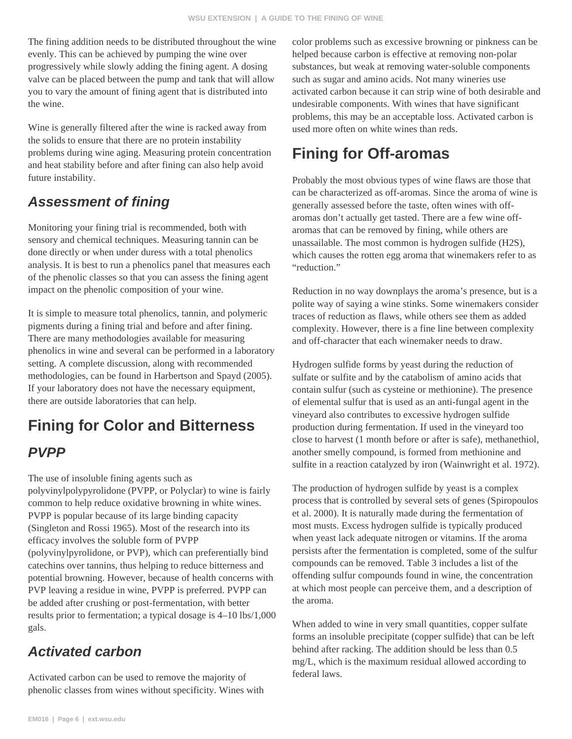The fining addition needs to be distributed throughout the wine evenly. This can be achieved by pumping the wine over progressively while slowly adding the fining agent. A dosing valve can be placed between the pump and tank that will allow you to vary the amount of fining agent that is distributed into the wine.

Wine is generally filtered after the wine is racked away from the solids to ensure that there are no protein instability problems during wine aging. Measuring protein concentration and heat stability before and after fining can also help avoid future instability.

#### **Assessment of fining**

Monitoring your fining trial is recommended, both with sensory and chemical techniques. Measuring tannin can be done directly or when under duress with a total phenolics analysis. It is best to run a phenolics panel that measures each of the phenolic classes so that you can assess the fining agent impact on the phenolic composition of your wine.

It is simple to measure total phenolics, tannin, and polymeric pigments during a fining trial and before and after fining. There are many methodologies available for measuring phenolics in wine and several can be performed in a laboratory setting. A complete discussion, along with recommended methodologies, can be found in Harbertson and Spayd (2005). If your laboratory does not have the necessary equipment, there are outside laboratories that can help.

## **Fining for Color and Bitterness PVPP**

The use of insoluble fining agents such as polyvinylpolypyrolidone (PVPP, or Polyclar) to wine is fairly common to help reduce oxidative browning in white wines. PVPP is popular because of its large binding capacity (Singleton and Rossi 1965). Most of the research into its efficacy involves the soluble form of PVPP (polyvinylpyrolidone, or PVP), which can preferentially bind catechins over tannins, thus helping to reduce bitterness and potential browning. However, because of health concerns with PVP leaving a residue in wine, PVPP is preferred. PVPP can be added after crushing or post-fermentation, with better results prior to fermentation; a typical dosage is 4–10 lbs/1,000 gals.

#### **Activated carbon**

Activated carbon can be used to remove the majority of phenolic classes from wines without specificity. Wines with color problems such as excessive browning or pinkness can be helped because carbon is effective at removing non-polar substances, but weak at removing water-soluble components such as sugar and amino acids. Not many wineries use activated carbon because it can strip wine of both desirable and undesirable components. With wines that have significant problems, this may be an acceptable loss. Activated carbon is used more often on white wines than reds.

### **Fining for Off-aromas**

Probably the most obvious types of wine flaws are those that can be characterized as off-aromas. Since the aroma of wine is generally assessed before the taste, often wines with offaromas don't actually get tasted. There are a few wine offaromas that can be removed by fining, while others are unassailable. The most common is hydrogen sulfide (H2S), which causes the rotten egg aroma that winemakers refer to as "reduction."

Reduction in no way downplays the aroma's presence, but is a polite way of saying a wine stinks. Some winemakers consider traces of reduction as flaws, while others see them as added complexity. However, there is a fine line between complexity and off-character that each winemaker needs to draw.

Hydrogen sulfide forms by yeast during the reduction of sulfate or sulfite and by the catabolism of amino acids that contain sulfur (such as cysteine or methionine). The presence of elemental sulfur that is used as an anti-fungal agent in the vineyard also contributes to excessive hydrogen sulfide production during fermentation. If used in the vineyard too close to harvest (1 month before or after is safe), methanethiol, another smelly compound, is formed from methionine and sulfite in a reaction catalyzed by iron (Wainwright et al. 1972).

The production of hydrogen sulfide by yeast is a complex process that is controlled by several sets of genes (Spiropoulos et al. 2000). It is naturally made during the fermentation of most musts. Excess hydrogen sulfide is typically produced when yeast lack adequate nitrogen or vitamins. If the aroma persists after the fermentation is completed, some of the sulfur compounds can be removed. Table 3 includes a list of the offending sulfur compounds found in wine, the concentration at which most people can perceive them, and a description of the aroma.

When added to wine in very small quantities, copper sulfate forms an insoluble precipitate (copper sulfide) that can be left behind after racking. The addition should be less than 0.5 mg/L, which is the maximum residual allowed according to federal laws.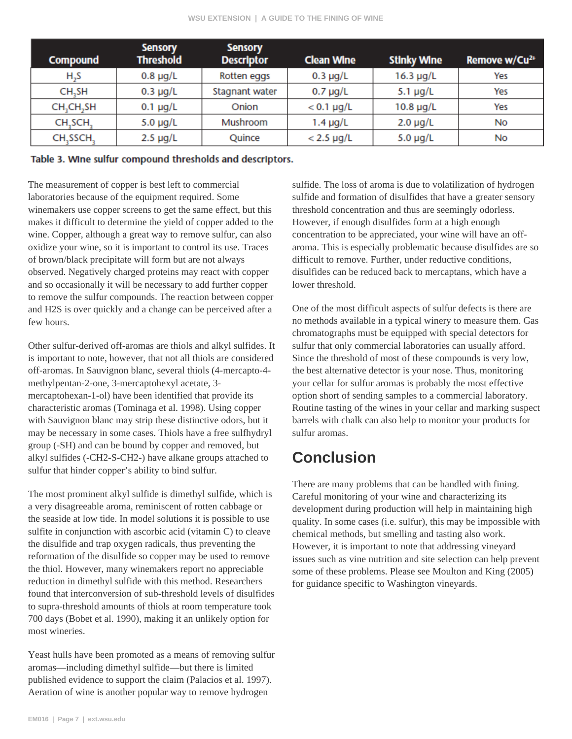| <b>Compound</b>                    | <b>Sensory</b><br><b>Threshold</b> | <b>Sensory</b><br><b>Descriptor</b> | <b>Clean Wine</b> | <b>Stinky Wine</b> | Remove w/Cu <sup>2+</sup> |
|------------------------------------|------------------------------------|-------------------------------------|-------------------|--------------------|---------------------------|
| H <sub>2</sub> S                   | $0.8 \mu g/L$                      | Rotten eggs                         | $0.3 \mu g/L$     | $16.3 \mu g/L$     | Yes                       |
| CH <sub>3</sub> SH                 | $0.3 \mu g/L$                      | Stagnant water                      | $0.7 \mu g/L$     | 5.1 $\mu$ g/L      | Yes                       |
| CH <sub>2</sub> CH <sub>2</sub> SH | $0.1 \mu g/L$                      | Onion                               | $< 0.1$ µg/L      | $10.8 \mu g/L$     | Yes                       |
| CH <sub>3</sub> CH <sub>3</sub>    | $5.0 \mu g/L$                      | Mushroom                            | $1.4 \mu g/L$     | $2.0 \mu g/L$      | No                        |
| CH <sub>3</sub> SSCH <sub>3</sub>  | $2.5 \mu g/L$                      | Quince                              | $< 2.5 \mu g/L$   | $5.0 \mu g/L$      | No                        |

#### Table 3. Wine sulfur compound thresholds and descriptors.

The measurement of copper is best left to commercial laboratories because of the equipment required. Some winemakers use copper screens to get the same effect, but this makes it difficult to determine the yield of copper added to the wine. Copper, although a great way to remove sulfur, can also oxidize your wine, so it is important to control its use. Traces of brown/black precipitate will form but are not always observed. Negatively charged proteins may react with copper and so occasionally it will be necessary to add further copper to remove the sulfur compounds. The reaction between copper and H2S is over quickly and a change can be perceived after a few hours.

Other sulfur-derived off-aromas are thiols and alkyl sulfides. It is important to note, however, that not all thiols are considered off-aromas. In Sauvignon blanc, several thiols (4-mercapto-4 methylpentan-2-one, 3-mercaptohexyl acetate, 3 mercaptohexan-1-ol) have been identified that provide its characteristic aromas (Tominaga et al. 1998). Using copper with Sauvignon blanc may strip these distinctive odors, but it may be necessary in some cases. Thiols have a free sulfhydryl group (-SH) and can be bound by copper and removed, but alkyl sulfides (-CH2-S-CH2-) have alkane groups attached to sulfur that hinder copper's ability to bind sulfur.

The most prominent alkyl sulfide is dimethyl sulfide, which is a very disagreeable aroma, reminiscent of rotten cabbage or the seaside at low tide. In model solutions it is possible to use sulfite in conjunction with ascorbic acid (vitamin C) to cleave the disulfide and trap oxygen radicals, thus preventing the reformation of the disulfide so copper may be used to remove the thiol. However, many winemakers report no appreciable reduction in dimethyl sulfide with this method. Researchers found that interconversion of sub-threshold levels of disulfides to supra-threshold amounts of thiols at room temperature took 700 days (Bobet et al. 1990), making it an unlikely option for most wineries.

Yeast hulls have been promoted as a means of removing sulfur aromas—including dimethyl sulfide—but there is limited published evidence to support the claim (Palacios et al. 1997). Aeration of wine is another popular way to remove hydrogen

sulfide. The loss of aroma is due to volatilization of hydrogen sulfide and formation of disulfides that have a greater sensory threshold concentration and thus are seemingly odorless. However, if enough disulfides form at a high enough concentration to be appreciated, your wine will have an offaroma. This is especially problematic because disulfides are so difficult to remove. Further, under reductive conditions, disulfides can be reduced back to mercaptans, which have a lower threshold.

One of the most difficult aspects of sulfur defects is there are no methods available in a typical winery to measure them. Gas chromatographs must be equipped with special detectors for sulfur that only commercial laboratories can usually afford. Since the threshold of most of these compounds is very low, the best alternative detector is your nose. Thus, monitoring your cellar for sulfur aromas is probably the most effective option short of sending samples to a commercial laboratory. Routine tasting of the wines in your cellar and marking suspect barrels with chalk can also help to monitor your products for sulfur aromas.

### **Conclusion**

There are many problems that can be handled with fining. Careful monitoring of your wine and characterizing its development during production will help in maintaining high quality. In some cases (i.e. sulfur), this may be impossible with chemical methods, but smelling and tasting also work. However, it is important to note that addressing vineyard issues such as vine nutrition and site selection can help prevent some of these problems. Please see Moulton and King (2005) for guidance specific to Washington vineyards.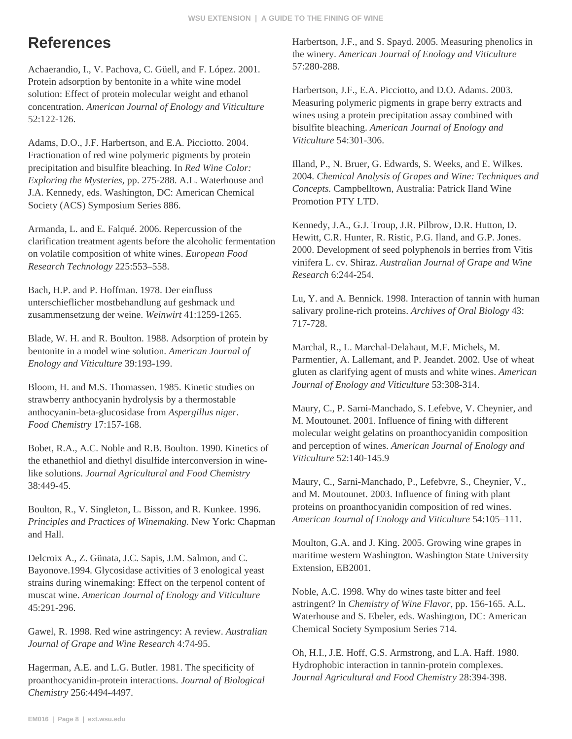#### **References**

Achaerandio, I., V. Pachova, C. Güell, and F. López. 2001. Protein adsorption by bentonite in a white wine model solution: Effect of protein molecular weight and ethanol concentration. *American Journal of Enology and Viticulture*  52:122-126.

Adams, D.O., J.F. Harbertson, and E.A. Picciotto. 2004. Fractionation of red wine polymeric pigments by protein precipitation and bisulfite bleaching. In *Red Wine Color: Exploring the Mysteries*, pp. 275-288. A.L. Waterhouse and J.A. Kennedy, eds. Washington, DC: American Chemical Society (ACS) Symposium Series 886.

Armanda, L. and E. Falqué. 2006. Repercussion of the clarification treatment agents before the alcoholic fermentation on volatile composition of white wines. *European Food Research Technology* 225:553–558.

Bach, H.P. and P. Hoffman. 1978. Der einfluss unterschieflicher mostbehandlung auf geshmack und zusammensetzung der weine. *Weinwirt* 41:1259-1265.

Blade, W. H. and R. Boulton. 1988. Adsorption of protein by bentonite in a model wine solution. *American Journal of Enology and Viticulture* 39:193-199.

Bloom, H. and M.S. Thomassen. 1985. Kinetic studies on strawberry anthocyanin hydrolysis by a thermostable anthocyanin-beta-glucosidase from *Aspergillus niger*. *Food Chemistry* 17:157-168.

Bobet, R.A., A.C. Noble and R.B. Boulton. 1990. Kinetics of the ethanethiol and diethyl disulfide interconversion in winelike solutions. *Journal Agricultural and Food Chemistry*  38:449-45.

Boulton, R., V. Singleton, L. Bisson, and R. Kunkee. 1996. *Principles and Practices of Winemaking.* New York: Chapman and Hall.

Delcroix A., Z. Günata, J.C. Sapis, J.M. Salmon, and C. Bayonove.1994. Glycosidase activities of 3 enological yeast strains during winemaking: Effect on the terpenol content of muscat wine. *American Journal of Enology and Viticulture*  45:291-296.

Gawel, R. 1998. Red wine astringency: A review. *Australian Journal of Grape and Wine Research* 4:74-95.

Hagerman, A.E. and L.G. Butler. 1981. The specificity of proanthocyanidin-protein interactions. *Journal of Biological Chemistry* 256:4494-4497.

Harbertson, J.F., and S. Spayd. 2005. Measuring phenolics in the winery. *American Journal of Enology and Viticulture*  57:280-288.

Harbertson, J.F., E.A. Picciotto, and D.O. Adams. 2003. Measuring polymeric pigments in grape berry extracts and wines using a protein precipitation assay combined with bisulfite bleaching. *American Journal of Enology and Viticulture* 54:301-306.

Illand, P., N. Bruer, G. Edwards, S. Weeks, and E. Wilkes. 2004. *Chemical Analysis of Grapes and Wine: Techniques and Concepts.* Campbelltown, Australia: Patrick Iland Wine Promotion PTY LTD.

Kennedy, J.A., G.J. Troup, J.R. Pilbrow, D.R. Hutton, D. Hewitt, C.R. Hunter, R. Ristic, P.G. Iland, and G.P. Jones. 2000. Development of seed polyphenols in berries from Vitis vinifera L. cv. Shiraz. *Australian Journal of Grape and Wine Research* 6:244-254.

Lu, Y. and A. Bennick. 1998. Interaction of tannin with human salivary proline-rich proteins. *Archives of Oral Biology* 43: 717-728.

Marchal, R., L. Marchal-Delahaut, M.F. Michels, M. Parmentier, A. Lallemant, and P. Jeandet. 2002. Use of wheat gluten as clarifying agent of musts and white wines. *American Journal of Enology and Viticulture* 53:308-314.

Maury, C., P. Sarni-Manchado, S. Lefebve, V. Cheynier, and M. Moutounet. 2001. Influence of fining with different molecular weight gelatins on proanthocyanidin composition and perception of wines. *American Journal of Enology and Viticulture* 52:140-145.9

Maury, C., Sarni-Manchado, P., Lefebvre, S., Cheynier, V., and M. Moutounet. 2003. Influence of fining with plant proteins on proanthocyanidin composition of red wines. *American Journal of Enology and Viticulture* 54:105–111.

Moulton, G.A. and J. King. 2005. Growing wine grapes in maritime western Washington. Washington State University Extension, EB2001.

Noble, A.C. 1998. Why do wines taste bitter and feel astringent? In *Chemistry of Wine Flavor*, pp. 156-165. A.L. Waterhouse and S. Ebeler, eds. Washington, DC: American Chemical Society Symposium Series 714.

Oh, H.I., J.E. Hoff, G.S. Armstrong, and L.A. Haff. 1980. Hydrophobic interaction in tannin-protein complexes. *Journal Agricultural and Food Chemistry* 28:394-398.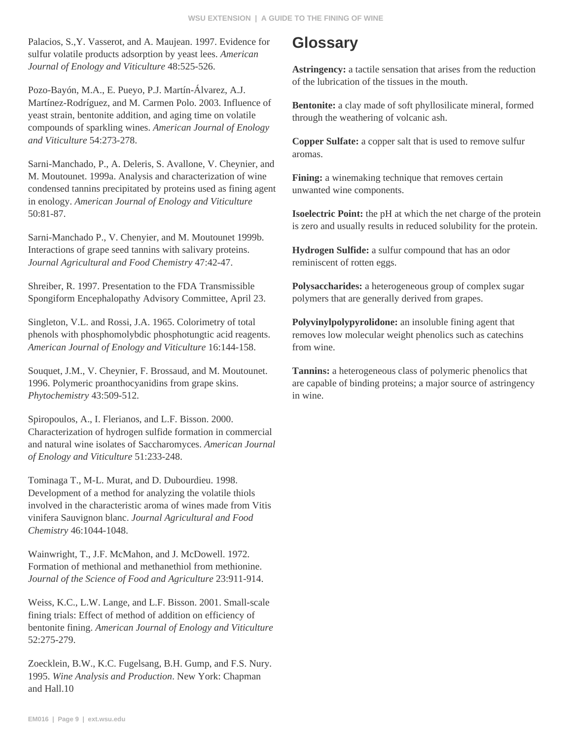Palacios, S.,Y. Vasserot, and A. Maujean. 1997. Evidence for sulfur volatile products adsorption by yeast lees. *American Journal of Enology and Viticulture* 48:525-526.

Pozo-Bayón, M.A., E. Pueyo, P.J. Martín-Álvarez, A.J. Martínez-Rodríguez, and M. Carmen Polo. 2003. Influence of yeast strain, bentonite addition, and aging time on volatile compounds of sparkling wines. *American Journal of Enology and Viticulture* 54:273-278.

Sarni-Manchado, P., A. Deleris, S. Avallone, V. Cheynier, and M. Moutounet. 1999a. Analysis and characterization of wine condensed tannins precipitated by proteins used as fining agent in enology. *American Journal of Enology and Viticulture*  50:81-87.

Sarni-Manchado P., V. Chenyier, and M. Moutounet 1999b. Interactions of grape seed tannins with salivary proteins. *Journal Agricultural and Food Chemistry* 47:42-47.

Shreiber, R. 1997. Presentation to the FDA Transmissible Spongiform Encephalopathy Advisory Committee, April 23.

Singleton, V.L. and Rossi, J.A. 1965. Colorimetry of total phenols with phosphomolybdic phosphotungtic acid reagents. *American Journal of Enology and Viticulture* 16:144-158.

Souquet, J.M., V. Cheynier, F. Brossaud, and M. Moutounet. 1996. Polymeric proanthocyanidins from grape skins. *Phytochemistry* 43:509-512.

Spiropoulos, A., I. Flerianos, and L.F. Bisson. 2000. Characterization of hydrogen sulfide formation in commercial and natural wine isolates of Saccharomyces. *American Journal of Enology and Viticulture* 51:233-248.

Tominaga T., M-L. Murat, and D. Dubourdieu. 1998. Development of a method for analyzing the volatile thiols involved in the characteristic aroma of wines made from Vitis vinifera Sauvignon blanc. *Journal Agricultural and Food Chemistry* 46:1044-1048.

Wainwright, T., J.F. McMahon, and J. McDowell. 1972. Formation of methional and methanethiol from methionine. *Journal of the Science of Food and Agriculture* 23:911-914.

Weiss, K.C., L.W. Lange, and L.F. Bisson. 2001. Small-scale fining trials: Effect of method of addition on efficiency of bentonite fining. *American Journal of Enology and Viticulture*  52:275-279.

Zoecklein, B.W., K.C. Fugelsang, B.H. Gump, and F.S. Nury. 1995. *Wine Analysis and Production*. New York: Chapman and Hall.10

### **Glossary**

**Astringency:** a tactile sensation that arises from the reduction of the lubrication of the tissues in the mouth.

**Bentonite:** a clay made of soft phyllosilicate mineral, formed through the weathering of volcanic ash.

**Copper Sulfate:** a copper salt that is used to remove sulfur aromas.

**Fining:** a winemaking technique that removes certain unwanted wine components.

**Isoelectric Point:** the pH at which the net charge of the protein is zero and usually results in reduced solubility for the protein.

**Hydrogen Sulfide:** a sulfur compound that has an odor reminiscent of rotten eggs.

**Polysaccharides:** a heterogeneous group of complex sugar polymers that are generally derived from grapes.

**Polyvinylpolypyrolidone:** an insoluble fining agent that removes low molecular weight phenolics such as catechins from wine.

**Tannins:** a heterogeneous class of polymeric phenolics that are capable of binding proteins; a major source of astringency in wine.